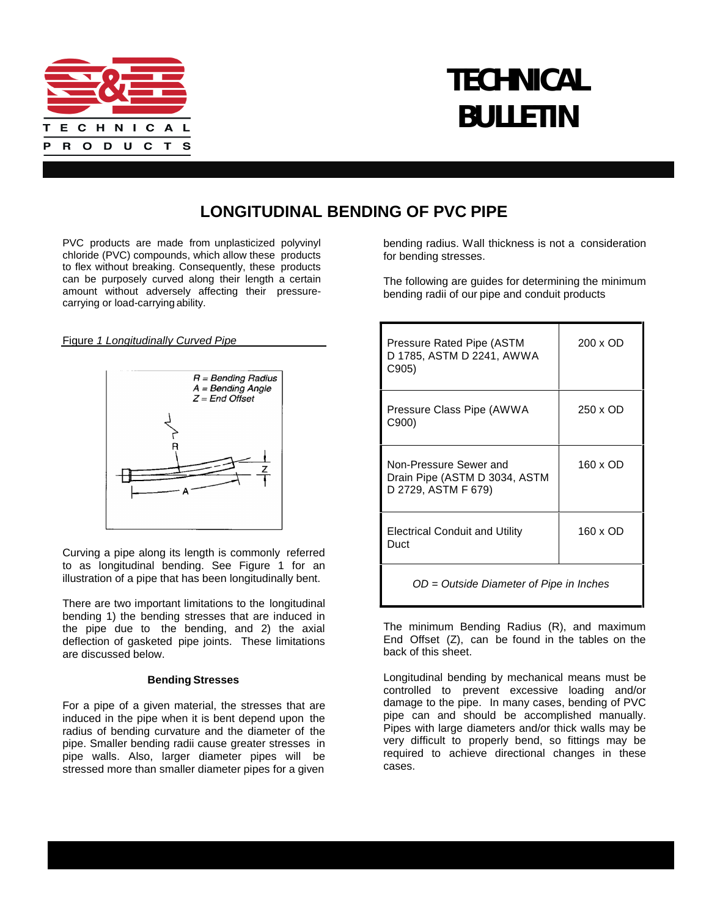

# **TECHNICAL BULLETIN**

## **LONGITUDINAL BENDING OF PVC PIPE**

PVC products are made from unplasticized polyvinyl chloride (PVC) compounds, which allow these products to flex without breaking. Consequently, these products can be purposely curved along their length a certain amount without adversely affecting their pressure carrying or load-carrying ability.

Figure *1 Longitudinally Curved Pipe*



Curving a pipe along its length is commonly referred to as longitudinal bending. See Figure 1 for an illustration of a pipe that has been longitudinally bent.

There are two important limitations to the longitudinal bending 1) the bending stresses that are induced in the pipe due to the bending, and 2) the axial deflection of gasketed pipe joints. These limitations are discussed below.

#### **Bending Stresses**

For a pipe of a given material, the stresses that are induced in the pipe when it is bent depend upon the radius of bending curvature and the diameter of the pipe. Smaller bending radii cause greater stresses in pipe walls. Also, larger diameter pipes will be stressed more than smaller diameter pipes for a given

bending radius. Wall thickness is not a consideration for bending stresses.

The following are guides for determining the minimum bending radii of our pipe and conduit products

| Pressure Rated Pipe (ASTM<br>D 1785, ASTM D 2241, AWWA<br>C905)                | 200 x OD |  |  |
|--------------------------------------------------------------------------------|----------|--|--|
| Pressure Class Pipe (AWWA<br>C900)                                             | 250 x OD |  |  |
| Non-Pressure Sewer and<br>Drain Pipe (ASTM D 3034, ASTM<br>D 2729, ASTM F 679) | 160 x OD |  |  |
| <b>Electrical Conduit and Utility</b><br>Duct                                  | 160 x OD |  |  |
| OD = Outside Diameter of Pipe in Inches                                        |          |  |  |

The minimum Bending Radius (R), and maximum End Offset (Z), can be found in the tables on the back of this sheet.

Longitudinal bending by mechanical means must be controlled to prevent excessive loading and/or damage to the pipe. In many cases, bending of PVC pipe can and should be accomplished manually. Pipes with large diameters and/or thick walls may be very difficult to properly bend, so fittings may be required to achieve directional changes in these cases.